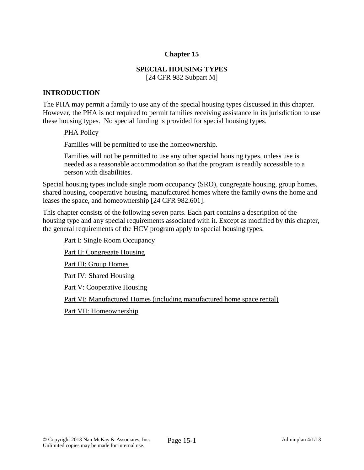### **Chapter 15**

### **SPECIAL HOUSING TYPES**

[24 CFR 982 Subpart M]

#### **INTRODUCTION**

The PHA may permit a family to use any of the special housing types discussed in this chapter. However, the PHA is not required to permit families receiving assistance in its jurisdiction to use these housing types. No special funding is provided for special housing types.

#### PHA Policy

Families will be permitted to use the homeownership.

Families will not be permitted to use any other special housing types, unless use is needed as a reasonable accommodation so that the program is readily accessible to a person with disabilities.

Special housing types include single room occupancy (SRO), congregate housing, group homes, shared housing, cooperative housing, manufactured homes where the family owns the home and leases the space, and homeownership [24 CFR 982.601].

This chapter consists of the following seven parts. Each part contains a description of the housing type and any special requirements associated with it. Except as modified by this chapter, the general requirements of the HCV program apply to special housing types.

Part I: Single Room Occupancy Part II: Congregate Housing Part III: Group Homes Part IV: Shared Housing Part V: Cooperative Housing Part VI: Manufactured Homes (including manufactured home space rental) Part VII: Homeownership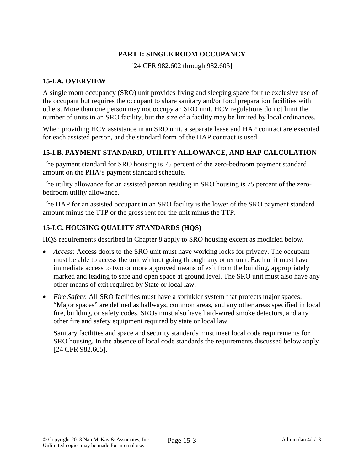# **PART I: SINGLE ROOM OCCUPANCY**

[24 CFR 982.602 through 982.605]

### **15-I.A. OVERVIEW**

A single room occupancy (SRO) unit provides living and sleeping space for the exclusive use of the occupant but requires the occupant to share sanitary and/or food preparation facilities with others. More than one person may not occupy an SRO unit. HCV regulations do not limit the number of units in an SRO facility, but the size of a facility may be limited by local ordinances.

When providing HCV assistance in an SRO unit, a separate lease and HAP contract are executed for each assisted person, and the standard form of the HAP contract is used.

# **15-I.B. PAYMENT STANDARD, UTILITY ALLOWANCE, AND HAP CALCULATION**

The payment standard for SRO housing is 75 percent of the zero-bedroom payment standard amount on the PHA's payment standard schedule.

The utility allowance for an assisted person residing in SRO housing is 75 percent of the zerobedroom utility allowance.

The HAP for an assisted occupant in an SRO facility is the lower of the SRO payment standard amount minus the TTP or the gross rent for the unit minus the TTP.

# **15-I.C. HOUSING QUALITY STANDARDS (HQS)**

HQS requirements described in Chapter 8 apply to SRO housing except as modified below.

- *Access*: Access doors to the SRO unit must have working locks for privacy. The occupant must be able to access the unit without going through any other unit. Each unit must have immediate access to two or more approved means of exit from the building, appropriately marked and leading to safe and open space at ground level. The SRO unit must also have any other means of exit required by State or local law.
- *Fire Safety*: All SRO facilities must have a sprinkler system that protects major spaces. "Major spaces" are defined as hallways, common areas, and any other areas specified in local fire, building, or safety codes. SROs must also have hard-wired smoke detectors, and any other fire and safety equipment required by state or local law.

Sanitary facilities and space and security standards must meet local code requirements for SRO housing. In the absence of local code standards the requirements discussed below apply [24 CFR 982.605].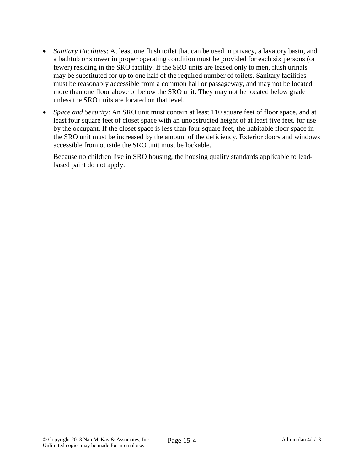- *Sanitary Facilities*: At least one flush toilet that can be used in privacy, a lavatory basin, and a bathtub or shower in proper operating condition must be provided for each six persons (or fewer) residing in the SRO facility. If the SRO units are leased only to men, flush urinals may be substituted for up to one half of the required number of toilets. Sanitary facilities must be reasonably accessible from a common hall or passageway, and may not be located more than one floor above or below the SRO unit. They may not be located below grade unless the SRO units are located on that level.
- *Space and Security*: An SRO unit must contain at least 110 square feet of floor space, and at least four square feet of closet space with an unobstructed height of at least five feet, for use by the occupant. If the closet space is less than four square feet, the habitable floor space in the SRO unit must be increased by the amount of the deficiency. Exterior doors and windows accessible from outside the SRO unit must be lockable.

Because no children live in SRO housing, the housing quality standards applicable to leadbased paint do not apply.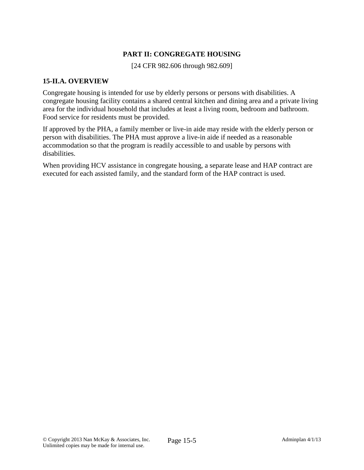## **PART II: CONGREGATE HOUSING**

[24 CFR 982.606 through 982.609]

### **15-II.A. OVERVIEW**

Congregate housing is intended for use by elderly persons or persons with disabilities. A congregate housing facility contains a shared central kitchen and dining area and a private living area for the individual household that includes at least a living room, bedroom and bathroom. Food service for residents must be provided.

If approved by the PHA, a family member or live-in aide may reside with the elderly person or person with disabilities. The PHA must approve a live-in aide if needed as a reasonable accommodation so that the program is readily accessible to and usable by persons with disabilities.

When providing HCV assistance in congregate housing, a separate lease and HAP contract are executed for each assisted family, and the standard form of the HAP contract is used.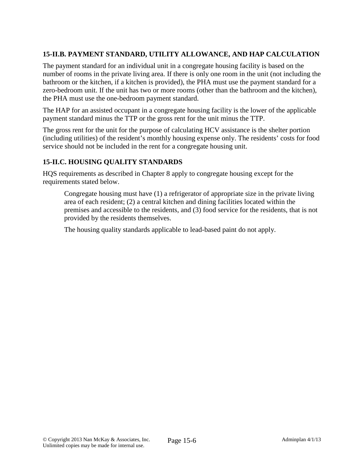# **15-II.B. PAYMENT STANDARD, UTILITY ALLOWANCE, AND HAP CALCULATION**

The payment standard for an individual unit in a congregate housing facility is based on the number of rooms in the private living area. If there is only one room in the unit (not including the bathroom or the kitchen, if a kitchen is provided), the PHA must use the payment standard for a zero-bedroom unit. If the unit has two or more rooms (other than the bathroom and the kitchen), the PHA must use the one-bedroom payment standard.

The HAP for an assisted occupant in a congregate housing facility is the lower of the applicable payment standard minus the TTP or the gross rent for the unit minus the TTP.

The gross rent for the unit for the purpose of calculating HCV assistance is the shelter portion (including utilities) of the resident's monthly housing expense only. The residents' costs for food service should not be included in the rent for a congregate housing unit.

## **15-II.C. HOUSING QUALITY STANDARDS**

HQS requirements as described in Chapter 8 apply to congregate housing except for the requirements stated below.

Congregate housing must have (1) a refrigerator of appropriate size in the private living area of each resident; (2) a central kitchen and dining facilities located within the premises and accessible to the residents, and (3) food service for the residents, that is not provided by the residents themselves.

The housing quality standards applicable to lead-based paint do not apply.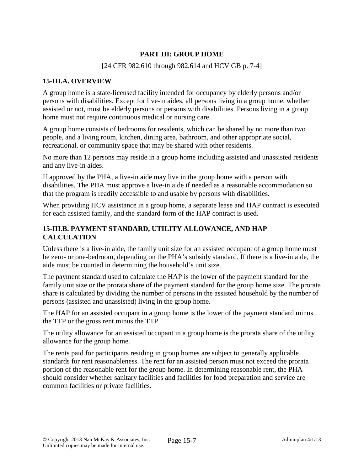## **PART III: GROUP HOME**

#### [24 CFR 982.610 through 982.614 and HCV GB p. 7-4]

### **15-III.A. OVERVIEW**

A group home is a state-licensed facility intended for occupancy by elderly persons and/or persons with disabilities. Except for live-in aides, all persons living in a group home, whether assisted or not, must be elderly persons or persons with disabilities. Persons living in a group home must not require continuous medical or nursing care.

A group home consists of bedrooms for residents, which can be shared by no more than two people, and a living room, kitchen, dining area, bathroom, and other appropriate social, recreational, or community space that may be shared with other residents.

No more than 12 persons may reside in a group home including assisted and unassisted residents and any live-in aides.

If approved by the PHA, a live-in aide may live in the group home with a person with disabilities. The PHA must approve a live-in aide if needed as a reasonable accommodation so that the program is readily accessible to and usable by persons with disabilities.

When providing HCV assistance in a group home, a separate lease and HAP contract is executed for each assisted family, and the standard form of the HAP contract is used.

### **15-III.B. PAYMENT STANDARD, UTILITY ALLOWANCE, AND HAP CALCULATION**

Unless there is a live-in aide, the family unit size for an assisted occupant of a group home must be zero- or one-bedroom, depending on the PHA's subsidy standard. If there is a live-in aide, the aide must be counted in determining the household's unit size.

The payment standard used to calculate the HAP is the lower of the payment standard for the family unit size or the prorata share of the payment standard for the group home size. The prorata share is calculated by dividing the number of persons in the assisted household by the number of persons (assisted and unassisted) living in the group home.

The HAP for an assisted occupant in a group home is the lower of the payment standard minus the TTP or the gross rent minus the TTP.

The utility allowance for an assisted occupant in a group home is the prorata share of the utility allowance for the group home.

The rents paid for participants residing in group homes are subject to generally applicable standards for rent reasonableness. The rent for an assisted person must not exceed the prorata portion of the reasonable rent for the group home. In determining reasonable rent, the PHA should consider whether sanitary facilities and facilities for food preparation and service are common facilities or private facilities.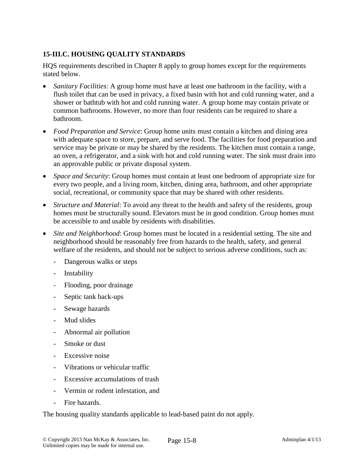# **15-III.C. HOUSING QUALITY STANDARDS**

HQS requirements described in Chapter 8 apply to group homes except for the requirements stated below.

- *Sanitary Facilities*: A group home must have at least one bathroom in the facility, with a flush toilet that can be used in privacy, a fixed basin with hot and cold running water, and a shower or bathtub with hot and cold running water. A group home may contain private or common bathrooms. However, no more than four residents can be required to share a bathroom.
- *Food Preparation and Service*: Group home units must contain a kitchen and dining area with adequate space to store, prepare, and serve food. The facilities for food preparation and service may be private or may be shared by the residents. The kitchen must contain a range, an oven, a refrigerator, and a sink with hot and cold running water. The sink must drain into an approvable public or private disposal system.
- *Space and Security*: Group homes must contain at least one bedroom of appropriate size for every two people, and a living room, kitchen, dining area, bathroom, and other appropriate social, recreational, or community space that may be shared with other residents.
- *Structure and Material*: To avoid any threat to the health and safety of the residents, group homes must be structurally sound. Elevators must be in good condition. Group homes must be accessible to and usable by residents with disabilities.
- *Site and Neighborhood*: Group homes must be located in a residential setting. The site and neighborhood should be reasonably free from hazards to the health, safety, and general welfare of the residents, and should not be subject to serious adverse conditions, such as:
	- Dangerous walks or steps
	- Instability
	- Flooding, poor drainage
	- Septic tank back-ups
	- Sewage hazards
	- Mud slides
	- Abnormal air pollution
	- Smoke or dust
	- Excessive noise
	- Vibrations or vehicular traffic
	- Excessive accumulations of trash
	- Vermin or rodent infestation, and
	- Fire hazards.

The housing quality standards applicable to lead-based paint do not apply.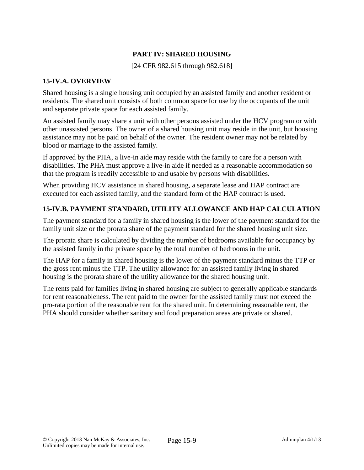## **PART IV: SHARED HOUSING**

[24 CFR 982.615 through 982.618]

#### **15-IV.A. OVERVIEW**

Shared housing is a single housing unit occupied by an assisted family and another resident or residents. The shared unit consists of both common space for use by the occupants of the unit and separate private space for each assisted family.

An assisted family may share a unit with other persons assisted under the HCV program or with other unassisted persons. The owner of a shared housing unit may reside in the unit, but housing assistance may not be paid on behalf of the owner. The resident owner may not be related by blood or marriage to the assisted family.

If approved by the PHA, a live-in aide may reside with the family to care for a person with disabilities. The PHA must approve a live-in aide if needed as a reasonable accommodation so that the program is readily accessible to and usable by persons with disabilities.

When providing HCV assistance in shared housing, a separate lease and HAP contract are executed for each assisted family, and the standard form of the HAP contract is used.

#### **15-IV.B. PAYMENT STANDARD, UTILITY ALLOWANCE AND HAP CALCULATION**

The payment standard for a family in shared housing is the lower of the payment standard for the family unit size or the prorata share of the payment standard for the shared housing unit size.

The prorata share is calculated by dividing the number of bedrooms available for occupancy by the assisted family in the private space by the total number of bedrooms in the unit.

The HAP for a family in shared housing is the lower of the payment standard minus the TTP or the gross rent minus the TTP. The utility allowance for an assisted family living in shared housing is the prorata share of the utility allowance for the shared housing unit.

The rents paid for families living in shared housing are subject to generally applicable standards for rent reasonableness. The rent paid to the owner for the assisted family must not exceed the pro-rata portion of the reasonable rent for the shared unit. In determining reasonable rent, the PHA should consider whether sanitary and food preparation areas are private or shared.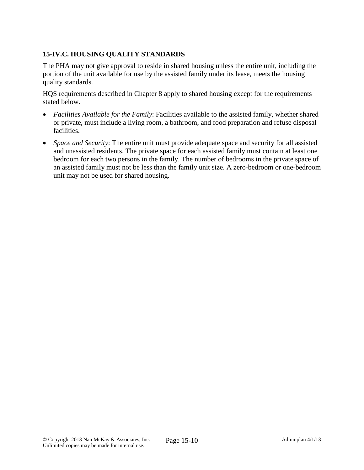# **15-IV.C. HOUSING QUALITY STANDARDS**

The PHA may not give approval to reside in shared housing unless the entire unit, including the portion of the unit available for use by the assisted family under its lease, meets the housing quality standards.

HQS requirements described in Chapter 8 apply to shared housing except for the requirements stated below.

- *Facilities Available for the Family*: Facilities available to the assisted family, whether shared or private, must include a living room, a bathroom, and food preparation and refuse disposal facilities.
- *Space and Security*: The entire unit must provide adequate space and security for all assisted and unassisted residents. The private space for each assisted family must contain at least one bedroom for each two persons in the family. The number of bedrooms in the private space of an assisted family must not be less than the family unit size. A zero-bedroom or one-bedroom unit may not be used for shared housing.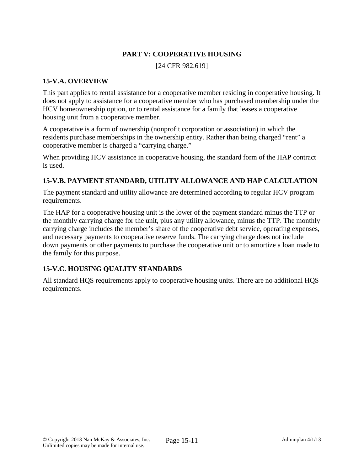## **PART V: COOPERATIVE HOUSING**

[24 CFR 982.619]

#### **15-V.A. OVERVIEW**

This part applies to rental assistance for a cooperative member residing in cooperative housing. It does not apply to assistance for a cooperative member who has purchased membership under the HCV homeownership option, or to rental assistance for a family that leases a cooperative housing unit from a cooperative member.

A cooperative is a form of ownership (nonprofit corporation or association) in which the residents purchase memberships in the ownership entity. Rather than being charged "rent" a cooperative member is charged a "carrying charge."

When providing HCV assistance in cooperative housing, the standard form of the HAP contract is used.

## **15-V.B. PAYMENT STANDARD, UTILITY ALLOWANCE AND HAP CALCULATION**

The payment standard and utility allowance are determined according to regular HCV program requirements.

The HAP for a cooperative housing unit is the lower of the payment standard minus the TTP or the monthly carrying charge for the unit, plus any utility allowance, minus the TTP. The monthly carrying charge includes the member's share of the cooperative debt service, operating expenses, and necessary payments to cooperative reserve funds. The carrying charge does not include down payments or other payments to purchase the cooperative unit or to amortize a loan made to the family for this purpose.

### **15-V.C. HOUSING QUALITY STANDARDS**

All standard HQS requirements apply to cooperative housing units. There are no additional HQS requirements.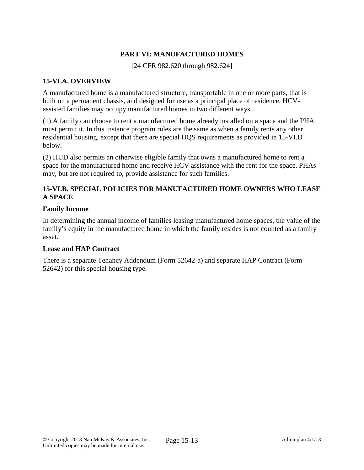## **PART VI: MANUFACTURED HOMES**

[24 CFR 982.620 through 982.624]

### **15-VI.A. OVERVIEW**

A manufactured home is a manufactured structure, transportable in one or more parts, that is built on a permanent chassis, and designed for use as a principal place of residence. HCVassisted families may occupy manufactured homes in two different ways.

(1) A family can choose to rent a manufactured home already installed on a space and the PHA must permit it. In this instance program rules are the same as when a family rents any other residential housing, except that there are special HQS requirements as provided in 15-VI.D below.

(2) HUD also permits an otherwise eligible family that owns a manufactured home to rent a space for the manufactured home and receive HCV assistance with the rent for the space. PHAs may, but are not required to, provide assistance for such families.

### **15-VI.B. SPECIAL POLICIES FOR MANUFACTURED HOME OWNERS WHO LEASE A SPACE**

#### **Family Income**

In determining the annual income of families leasing manufactured home spaces, the value of the family's equity in the manufactured home in which the family resides is not counted as a family asset.

#### **Lease and HAP Contract**

There is a separate Tenancy Addendum (Form 52642-a) and separate HAP Contract (Form 52642) for this special housing type.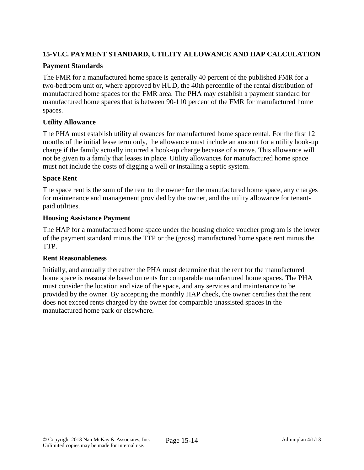# **15-VI.C. PAYMENT STANDARD, UTILITY ALLOWANCE AND HAP CALCULATION**

### **Payment Standards**

The FMR for a manufactured home space is generally 40 percent of the published FMR for a two-bedroom unit or, where approved by HUD, the 40th percentile of the rental distribution of manufactured home spaces for the FMR area. The PHA may establish a payment standard for manufactured home spaces that is between 90-110 percent of the FMR for manufactured home spaces.

#### **Utility Allowance**

The PHA must establish utility allowances for manufactured home space rental. For the first 12 months of the initial lease term only, the allowance must include an amount for a utility hook-up charge if the family actually incurred a hook-up charge because of a move. This allowance will not be given to a family that leases in place. Utility allowances for manufactured home space must not include the costs of digging a well or installing a septic system.

#### **Space Rent**

The space rent is the sum of the rent to the owner for the manufactured home space, any charges for maintenance and management provided by the owner, and the utility allowance for tenantpaid utilities.

#### **Housing Assistance Payment**

The HAP for a manufactured home space under the housing choice voucher program is the lower of the payment standard minus the TTP or the (gross) manufactured home space rent minus the TTP.

#### **Rent Reasonableness**

Initially, and annually thereafter the PHA must determine that the rent for the manufactured home space is reasonable based on rents for comparable manufactured home spaces. The PHA must consider the location and size of the space, and any services and maintenance to be provided by the owner. By accepting the monthly HAP check, the owner certifies that the rent does not exceed rents charged by the owner for comparable unassisted spaces in the manufactured home park or elsewhere.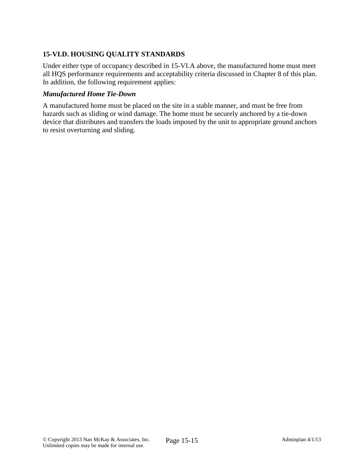# **15-VI.D. HOUSING QUALITY STANDARDS**

Under either type of occupancy described in 15-VI.A above, the manufactured home must meet all HQS performance requirements and acceptability criteria discussed in Chapter 8 of this plan. In addition, the following requirement applies:

#### *Manufactured Home Tie-Down*

A manufactured home must be placed on the site in a stable manner, and must be free from hazards such as sliding or wind damage. The home must be securely anchored by a tie-down device that distributes and transfers the loads imposed by the unit to appropriate ground anchors to resist overturning and sliding.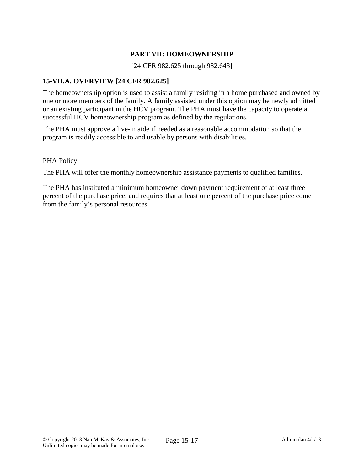## **PART VII: HOMEOWNERSHIP**

[24 CFR 982.625 through 982.643]

### **15-VII.A. OVERVIEW [24 CFR 982.625]**

The homeownership option is used to assist a family residing in a home purchased and owned by one or more members of the family. A family assisted under this option may be newly admitted or an existing participant in the HCV program. The PHA must have the capacity to operate a successful HCV homeownership program as defined by the regulations.

The PHA must approve a live-in aide if needed as a reasonable accommodation so that the program is readily accessible to and usable by persons with disabilities.

#### PHA Policy

The PHA will offer the monthly homeownership assistance payments to qualified families.

The PHA has instituted a minimum homeowner down payment requirement of at least three percent of the purchase price, and requires that at least one percent of the purchase price come from the family's personal resources.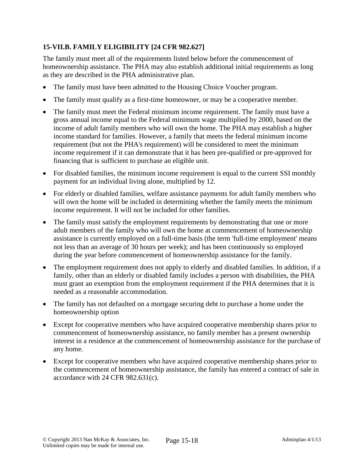# **15-VII.B. FAMILY ELIGIBILITY [24 CFR 982.627]**

The family must meet all of the requirements listed below before the commencement of homeownership assistance. The PHA may also establish additional initial requirements as long as they are described in the PHA administrative plan.

- The family must have been admitted to the Housing Choice Voucher program.
- The family must qualify as a first-time homeowner, or may be a cooperative member.
- The family must meet the Federal minimum income requirement. The family must have a gross annual income equal to the Federal minimum wage multiplied by 2000, based on the income of adult family members who will own the home. The PHA may establish a higher income standard for families. However, a family that meets the federal minimum income requirement (but not the PHA's requirement) will be considered to meet the minimum income requirement if it can demonstrate that it has been pre-qualified or pre-approved for financing that is sufficient to purchase an eligible unit.
- For disabled families, the minimum income requirement is equal to the current SSI monthly payment for an individual living alone, multiplied by 12.
- For elderly or disabled families, welfare assistance payments for adult family members who will own the home will be included in determining whether the family meets the minimum income requirement. It will not be included for other families.
- The family must satisfy the employment requirements by demonstrating that one or more adult members of the family who will own the home at commencement of homeownership assistance is currently employed on a full-time basis (the term 'full-time employment' means not less than an average of 30 hours per week); and has been continuously so employed during the year before commencement of homeownership assistance for the family.
- The employment requirement does not apply to elderly and disabled families. In addition, if a family, other than an elderly or disabled family includes a person with disabilities, the PHA must grant an exemption from the employment requirement if the PHA determines that it is needed as a reasonable accommodation.
- The family has not defaulted on a mortgage securing debt to purchase a home under the homeownership option
- Except for cooperative members who have acquired cooperative membership shares prior to commencement of homeownership assistance, no family member has a present ownership interest in a residence at the commencement of homeownership assistance for the purchase of any home.
- Except for cooperative members who have acquired cooperative membership shares prior to the commencement of homeownership assistance, the family has entered a contract of sale in accordance with 24 CFR 982.631(c).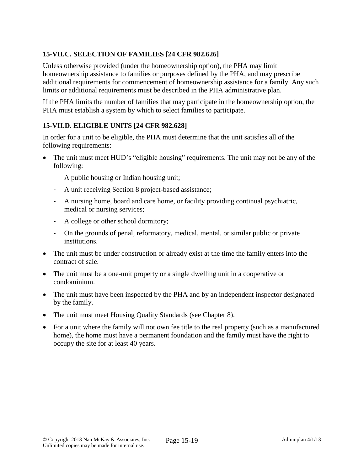# **15-VII.C. SELECTION OF FAMILIES [24 CFR 982.626]**

Unless otherwise provided (under the homeownership option), the PHA may limit homeownership assistance to families or purposes defined by the PHA, and may prescribe additional requirements for commencement of homeownership assistance for a family. Any such limits or additional requirements must be described in the PHA administrative plan.

If the PHA limits the number of families that may participate in the homeownership option, the PHA must establish a system by which to select families to participate.

# **15-VII.D. ELIGIBLE UNITS [24 CFR 982.628]**

In order for a unit to be eligible, the PHA must determine that the unit satisfies all of the following requirements:

- The unit must meet HUD's "eligible housing" requirements. The unit may not be any of the following:
	- A public housing or Indian housing unit;
	- A unit receiving Section 8 project-based assistance;
	- A nursing home, board and care home, or facility providing continual psychiatric, medical or nursing services;
	- A college or other school dormitory;
	- On the grounds of penal, reformatory, medical, mental, or similar public or private institutions.
- The unit must be under construction or already exist at the time the family enters into the contract of sale.
- The unit must be a one-unit property or a single dwelling unit in a cooperative or condominium.
- The unit must have been inspected by the PHA and by an independent inspector designated by the family.
- The unit must meet Housing Quality Standards (see Chapter 8).
- For a unit where the family will not own fee title to the real property (such as a manufactured home), the home must have a permanent foundation and the family must have the right to occupy the site for at least 40 years.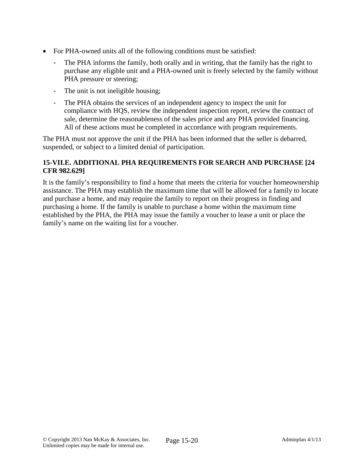- For PHA-owned units all of the following conditions must be satisfied:
	- The PHA informs the family, both orally and in writing, that the family has the right to purchase any eligible unit and a PHA-owned unit is freely selected by the family without PHA pressure or steering;
	- The unit is not ineligible housing;
	- The PHA obtains the services of an independent agency to inspect the unit for compliance with HQS, review the independent inspection report, review the contract of sale, determine the reasonableness of the sales price and any PHA provided financing. All of these actions must be completed in accordance with program requirements.

The PHA must not approve the unit if the PHA has been informed that the seller is debarred, suspended, or subject to a limited denial of participation.

### **15-VII.E. ADDITIONAL PHA REQUIREMENTS FOR SEARCH AND PURCHASE [24 CFR 982.629]**

It is the family's responsibility to find a home that meets the criteria for voucher homeownership assistance. The PHA may establish the maximum time that will be allowed for a family to locate and purchase a home, and may require the family to report on their progress in finding and purchasing a home. If the family is unable to purchase a home within the maximum time established by the PHA, the PHA may issue the family a voucher to lease a unit or place the family's name on the waiting list for a voucher.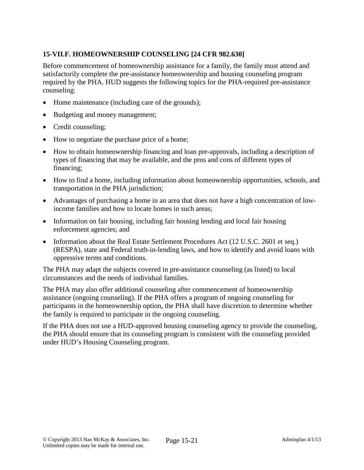# **15-VII.F. HOMEOWNERSHIP COUNSELING [24 CFR 982.630]**

Before commencement of homeownership assistance for a family, the family must attend and satisfactorily complete the pre-assistance homeownership and housing counseling program required by the PHA. HUD suggests the following topics for the PHA-required pre-assistance counseling:

- Home maintenance (including care of the grounds);
- Budgeting and money management;
- Credit counseling;
- How to negotiate the purchase price of a home;
- How to obtain homeownership financing and loan pre-approvals, including a description of types of financing that may be available, and the pros and cons of different types of financing;
- How to find a home, including information about homeownership opportunities, schools, and transportation in the PHA jurisdiction;
- Advantages of purchasing a home in an area that does not have a high concentration of lowincome families and how to locate homes in such areas;
- Information on fair housing, including fair housing lending and local fair housing enforcement agencies; and
- Information about the Real Estate Settlement Procedures Act (12 U.S.C. 2601 et seq.) (RESPA), state and Federal truth-in-lending laws, and how to identify and avoid loans with oppressive terms and conditions.

The PHA may adapt the subjects covered in pre-assistance counseling (as listed) to local circumstances and the needs of individual families.

The PHA may also offer additional counseling after commencement of homeownership assistance (ongoing counseling). If the PHA offers a program of ongoing counseling for participants in the homeownership option, the PHA shall have discretion to determine whether the family is required to participate in the ongoing counseling.

If the PHA does not use a HUD-approved housing counseling agency to provide the counseling, the PHA should ensure that its counseling program is consistent with the counseling provided under HUD's Housing Counseling program.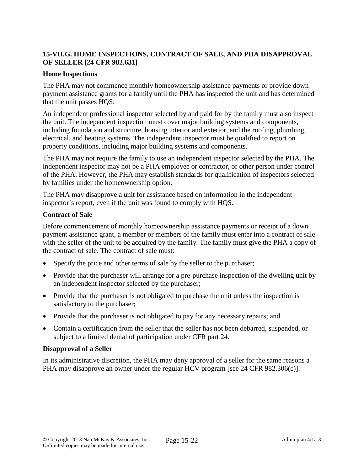## **15-VII.G. HOME INSPECTIONS, CONTRACT OF SALE, AND PHA DISAPPROVAL OF SELLER [24 CFR 982.631]**

#### **Home Inspections**

The PHA may not commence monthly homeownership assistance payments or provide down payment assistance grants for a family until the PHA has inspected the unit and has determined that the unit passes HQS.

An independent professional inspector selected by and paid for by the family must also inspect the unit. The independent inspection must cover major building systems and components, including foundation and structure, housing interior and exterior, and the roofing, plumbing, electrical, and heating systems. The independent inspector must be qualified to report on property conditions, including major building systems and components.

The PHA may not require the family to use an independent inspector selected by the PHA. The independent inspector may not be a PHA employee or contractor, or other person under control of the PHA. However, the PHA may establish standards for qualification of inspectors selected by families under the homeownership option.

The PHA may disapprove a unit for assistance based on information in the independent inspector's report, even if the unit was found to comply with HQS.

#### **Contract of Sale**

Before commencement of monthly homeownership assistance payments or receipt of a down payment assistance grant, a member or members of the family must enter into a contract of sale with the seller of the unit to be acquired by the family. The family must give the PHA a copy of the contract of sale. The contract of sale must:

- Specify the price and other terms of sale by the seller to the purchaser;
- Provide that the purchaser will arrange for a pre-purchase inspection of the dwelling unit by an independent inspector selected by the purchaser;
- Provide that the purchaser is not obligated to purchase the unit unless the inspection is satisfactory to the purchaser;
- Provide that the purchaser is not obligated to pay for any necessary repairs; and
- Contain a certification from the seller that the seller has not been debarred, suspended, or subject to a limited denial of participation under CFR part 24.

#### **Disapproval of a Seller**

In its administrative discretion, the PHA may deny approval of a seller for the same reasons a PHA may disapprove an owner under the regular HCV program [see 24 CFR 982.306(c)].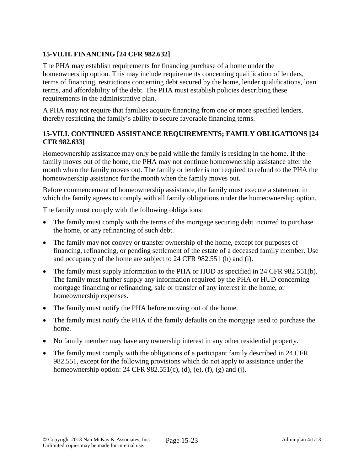# **15-VII.H. FINANCING [24 CFR 982.632]**

The PHA may establish requirements for financing purchase of a home under the homeownership option. This may include requirements concerning qualification of lenders, terms of financing, restrictions concerning debt secured by the home, lender qualifications, loan terms, and affordability of the debt. The PHA must establish policies describing these requirements in the administrative plan.

A PHA may not require that families acquire financing from one or more specified lenders, thereby restricting the family's ability to secure favorable financing terms.

### **15-VII.I. CONTINUED ASSISTANCE REQUIREMENTS; FAMILY OBLIGATIONS [24 CFR 982.633]**

Homeownership assistance may only be paid while the family is residing in the home. If the family moves out of the home, the PHA may not continue homeownership assistance after the month when the family moves out. The family or lender is not required to refund to the PHA the homeownership assistance for the month when the family moves out.

Before commencement of homeownership assistance, the family must execute a statement in which the family agrees to comply with all family obligations under the homeownership option.

The family must comply with the following obligations:

- The family must comply with the terms of the mortgage securing debt incurred to purchase the home, or any refinancing of such debt.
- The family may not convey or transfer ownership of the home, except for purposes of financing, refinancing, or pending settlement of the estate of a deceased family member. Use and occupancy of the home are subject to 24 CFR 982.551 (h) and (i).
- The family must supply information to the PHA or HUD as specified in 24 CFR 982.551(b). The family must further supply any information required by the PHA or HUD concerning mortgage financing or refinancing, sale or transfer of any interest in the home, or homeownership expenses.
- The family must notify the PHA before moving out of the home.
- The family must notify the PHA if the family defaults on the mortgage used to purchase the home.
- No family member may have any ownership interest in any other residential property.
- The family must comply with the obligations of a participant family described in 24 CFR 982.551, except for the following provisions which do not apply to assistance under the homeownership option:  $24$  CFR  $982.551(c)$ , (d), (e), (f), (g) and (j).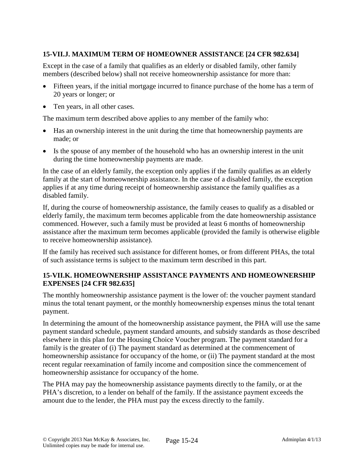# **15-VII.J. MAXIMUM TERM OF HOMEOWNER ASSISTANCE [24 CFR 982.634]**

Except in the case of a family that qualifies as an elderly or disabled family, other family members (described below) shall not receive homeownership assistance for more than:

- Fifteen years, if the initial mortgage incurred to finance purchase of the home has a term of 20 years or longer; or
- Ten years, in all other cases.

The maximum term described above applies to any member of the family who:

- Has an ownership interest in the unit during the time that homeownership payments are made; or
- Is the spouse of any member of the household who has an ownership interest in the unit during the time homeownership payments are made.

In the case of an elderly family, the exception only applies if the family qualifies as an elderly family at the start of homeownership assistance. In the case of a disabled family, the exception applies if at any time during receipt of homeownership assistance the family qualifies as a disabled family.

If, during the course of homeownership assistance, the family ceases to qualify as a disabled or elderly family, the maximum term becomes applicable from the date homeownership assistance commenced. However, such a family must be provided at least 6 months of homeownership assistance after the maximum term becomes applicable (provided the family is otherwise eligible to receive homeownership assistance).

If the family has received such assistance for different homes, or from different PHAs, the total of such assistance terms is subject to the maximum term described in this part.

## **15-VII.K. HOMEOWNERSHIP ASSISTANCE PAYMENTS AND HOMEOWNERSHIP EXPENSES [24 CFR 982.635]**

The monthly homeownership assistance payment is the lower of: the voucher payment standard minus the total tenant payment, or the monthly homeownership expenses minus the total tenant payment.

In determining the amount of the homeownership assistance payment, the PHA will use the same payment standard schedule, payment standard amounts, and subsidy standards as those described elsewhere in this plan for the Housing Choice Voucher program. The payment standard for a family is the greater of (i) The payment standard as determined at the commencement of homeownership assistance for occupancy of the home, or (ii) The payment standard at the most recent regular reexamination of family income and composition since the commencement of homeownership assistance for occupancy of the home.

The PHA may pay the homeownership assistance payments directly to the family, or at the PHA's discretion, to a lender on behalf of the family. If the assistance payment exceeds the amount due to the lender, the PHA must pay the excess directly to the family.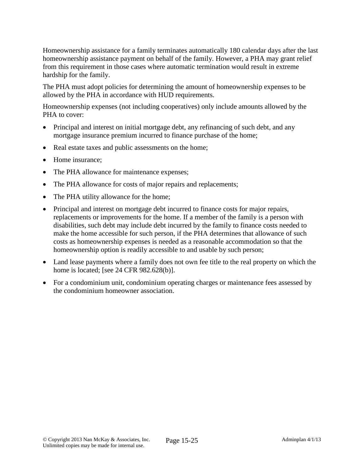Homeownership assistance for a family terminates automatically 180 calendar days after the last homeownership assistance payment on behalf of the family. However, a PHA may grant relief from this requirement in those cases where automatic termination would result in extreme hardship for the family.

The PHA must adopt policies for determining the amount of homeownership expenses to be allowed by the PHA in accordance with HUD requirements.

Homeownership expenses (not including cooperatives) only include amounts allowed by the PHA to cover:

- Principal and interest on initial mortgage debt, any refinancing of such debt, and any mortgage insurance premium incurred to finance purchase of the home;
- Real estate taxes and public assessments on the home;
- Home insurance;
- The PHA allowance for maintenance expenses;
- The PHA allowance for costs of major repairs and replacements;
- The PHA utility allowance for the home;
- Principal and interest on mortgage debt incurred to finance costs for major repairs, replacements or improvements for the home. If a member of the family is a person with disabilities, such debt may include debt incurred by the family to finance costs needed to make the home accessible for such person, if the PHA determines that allowance of such costs as homeownership expenses is needed as a reasonable accommodation so that the homeownership option is readily accessible to and usable by such person;
- Land lease payments where a family does not own fee title to the real property on which the home is located; [see 24 CFR 982.628(b)].
- For a condominium unit, condominium operating charges or maintenance fees assessed by the condominium homeowner association.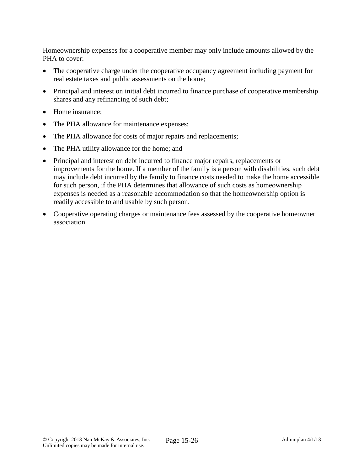Homeownership expenses for a cooperative member may only include amounts allowed by the PHA to cover:

- The cooperative charge under the cooperative occupancy agreement including payment for real estate taxes and public assessments on the home;
- Principal and interest on initial debt incurred to finance purchase of cooperative membership shares and any refinancing of such debt;
- Home insurance:
- The PHA allowance for maintenance expenses;
- The PHA allowance for costs of major repairs and replacements;
- The PHA utility allowance for the home; and
- Principal and interest on debt incurred to finance major repairs, replacements or improvements for the home. If a member of the family is a person with disabilities, such debt may include debt incurred by the family to finance costs needed to make the home accessible for such person, if the PHA determines that allowance of such costs as homeownership expenses is needed as a reasonable accommodation so that the homeownership option is readily accessible to and usable by such person.
- Cooperative operating charges or maintenance fees assessed by the cooperative homeowner association.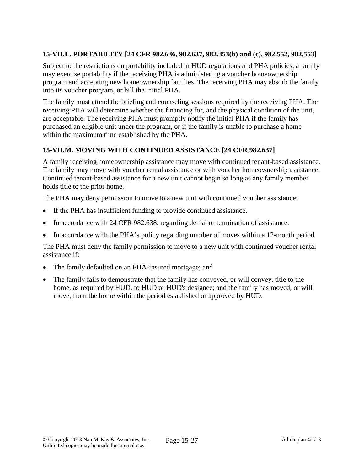# **15-VII.L. PORTABILITY [24 CFR 982.636, 982.637, 982.353(b) and (c), 982.552, 982.553]**

Subject to the restrictions on portability included in HUD regulations and PHA policies, a family may exercise portability if the receiving PHA is administering a voucher homeownership program and accepting new homeownership families. The receiving PHA may absorb the family into its voucher program, or bill the initial PHA.

The family must attend the briefing and counseling sessions required by the receiving PHA. The receiving PHA will determine whether the financing for, and the physical condition of the unit, are acceptable. The receiving PHA must promptly notify the initial PHA if the family has purchased an eligible unit under the program, or if the family is unable to purchase a home within the maximum time established by the PHA.

### **15-VII.M. MOVING WITH CONTINUED ASSISTANCE [24 CFR 982.637]**

A family receiving homeownership assistance may move with continued tenant-based assistance. The family may move with voucher rental assistance or with voucher homeownership assistance. Continued tenant-based assistance for a new unit cannot begin so long as any family member holds title to the prior home.

The PHA may deny permission to move to a new unit with continued voucher assistance:

- If the PHA has insufficient funding to provide continued assistance.
- In accordance with 24 CFR 982.638, regarding denial or termination of assistance.
- In accordance with the PHA's policy regarding number of moves within a 12-month period.

The PHA must deny the family permission to move to a new unit with continued voucher rental assistance if:

- The family defaulted on an FHA-insured mortgage; and
- The family fails to demonstrate that the family has conveyed, or will convey, title to the home, as required by HUD, to HUD or HUD's designee; and the family has moved, or will move, from the home within the period established or approved by HUD.